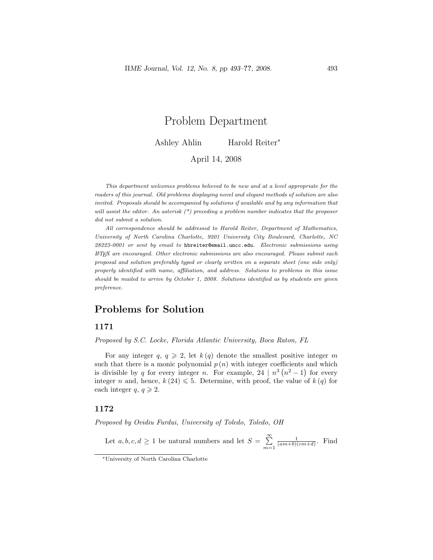# Problem Department

Ashley Ahlin Harold Reiter<sup>∗</sup>

April 14, 2008

This department welcomes problems believed to be new and at a level appropriate for the readers of this journal. Old problems displaying novel and elegant methods of solution are also invited. Proposals should be accompanied by solutions if available and by any information that will assist the editor. An asterisk  $(*)$  preceding a problem number indicates that the proposer did not submit a solution.

All correspondence should be addressed to Harold Reiter, Department of Mathematics, University of North Carolina Charlotte, 9201 University City Boulevard, Charlotte, NC 28223-0001 or sent by email to hbreiter@email.uncc.edu. Electronic submissions using LATEX are encouraged. Other electronic submissions are also encouraged. Please submit each proposal and solution preferably typed or clearly written on a separate sheet (one side only) properly identified with name, affiliation, and address. Solutions to problems in this issue should be mailed to arrive by October 1, 2008. Solutions identified as by students are given preference.

## Problems for Solution

### 1171

Proposed by S.C. Locke, Florida Atlantic University, Boca Raton, FL

For any integer q,  $q \geq 2$ , let  $k(q)$  denote the smallest positive integer m such that there is a monic polynomial  $p(n)$  with integer coefficients and which is divisible by q for every integer n. For example, 24 |  $n^3(n^2-1)$  for every integer n and, hence,  $k(24) \le 5$ . Determine, with proof, the value of  $k(q)$  for each integer  $q, q \geqslant 2$ .

## 1172

Proposed by Ovidiu Furdui, University of Toledo, Toledo, OH

Let  $a, b, c, d \geq 1$  be natural numbers and let  $S = \sum_{n=1}^{\infty}$  $m=1$  $\frac{1}{(am+b)(cm+d)}$ . Find

<sup>∗</sup>University of North Carolina Charlotte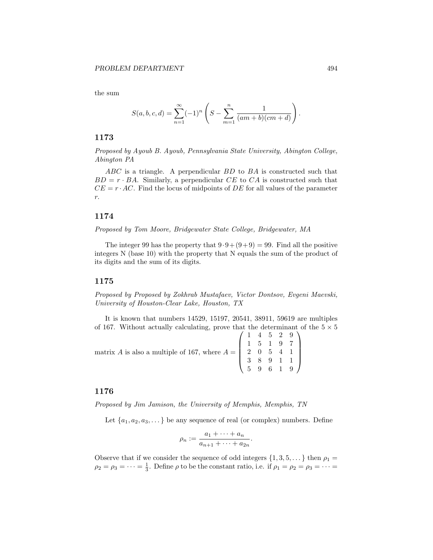the sum

$$
S(a, b, c, d) = \sum_{n=1}^{\infty} (-1)^n \left( S - \sum_{m=1}^n \frac{1}{(am+b)(cm+d)} \right).
$$

#### 1173

Proposed by Ayoub B. Ayoub, Pennsylvania State University, Abington College, Abington PA

ABC is a triangle. A perpendicular BD to BA is constructed such that  $BD = r \cdot BA$ . Similarly, a perpendicular CE to CA is constructed such that  $CE = r \cdot AC$ . Find the locus of midpoints of DE for all values of the parameter r.

## 1174

Proposed by Tom Moore, Bridgewater State College, Bridgewater, MA

The integer 99 has the property that  $9.9 + (9+9) = 99$ . Find all the positive integers N (base 10) with the property that N equals the sum of the product of its digits and the sum of its digits.

#### 1175

Proposed by Proposed by Zokhrab Mustafaev, Victor Dontsov, Evgeni Maevski, University of Houston-Clear Lake, Houston, TX

It is known that numbers 14529, 15197, 20541, 38911, 59619 are multiples of 167. Without actually calculating, prove that the determinant of the  $5 \times 5$ 

matrix A is also a multiple of 167, where  $A =$  $\sqrt{ }$  $\overline{\phantom{a}}$ 1 4 5 2 9 1 5 1 9 7 2 0 5 4 1 3 8 9 1 1 5 9 6 1 9  $\setminus$  $\Bigg\}$ 

#### 1176

Proposed by Jim Jamison, the University of Memphis, Memphis, TN

Let  $\{a_1, a_2, a_3, \dots\}$  be any sequence of real (or complex) numbers. Define

$$
\rho_n := \frac{a_1 + \dots + a_n}{a_{n+1} + \dots + a_{2n}}.
$$

Observe that if we consider the sequence of odd integers  $\{1, 3, 5, \dots\}$  then  $\rho_1 =$  $\rho_2 = \rho_3 = \cdots = \frac{1}{3}$ . Define  $\rho$  to be the constant ratio, i.e. if  $\rho_1 = \rho_2 = \rho_3 = \cdots =$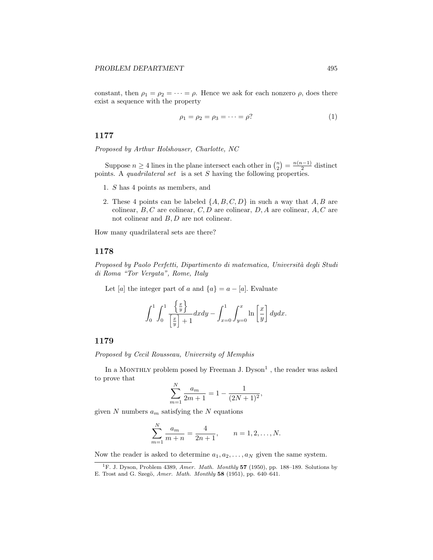constant, then  $\rho_1 = \rho_2 = \cdots = \rho$ . Hence we ask for each nonzero  $\rho$ , does there exist a sequence with the property

$$
\rho_1 = \rho_2 = \rho_3 = \dots = \rho? \tag{1}
$$

## 1177

Proposed by Arthur Holshouser, Charlotte, NC

Suppose  $n \geq 4$  lines in the plane intersect each other in  $\binom{n}{2} = \frac{n(n-1)}{2}$  $\frac{1}{2}$  distinct points. A quadrilateral set is a set  $S$  having the following properties.

- 1. S has 4 points as members, and
- 2. These 4 points can be labeled  $\{A, B, C, D\}$  in such a way that  $A, B$  are colinear,  $B, C$  are colinear,  $C, D$  are colinear,  $D, A$  are colinear,  $A, C$  are not colinear and B, D are not colinear.

How many quadrilateral sets are there?

### 1178

Proposed by Paolo Perfetti, Dipartimento di matematica, Università degli Studi di Roma "Tor Vergata", Rome, Italy

Let [a] the integer part of a and  $\{a\} = a - [a]$ . Evaluate

$$
\int_0^1 \int_0^1 \frac{\left\{\frac{x}{y}\right\}}{\left[\frac{x}{y}\right] + 1} dxdy - \int_{x=0}^1 \int_{y=0}^x \ln\left[\frac{x}{y}\right] dydx.
$$

#### 1179

Proposed by Cecil Rousseau, University of Memphis

In a MONTHLY problem posed by Freeman J.  $Dyson<sup>1</sup>$ , the reader was asked to prove that

$$
\sum_{m=1}^{N} \frac{a_m}{2m+1} = 1 - \frac{1}{(2N+1)^2},
$$

given  $N$  numbers  $a_m$  satisfying the  $N$  equations

$$
\sum_{m=1}^{N} \frac{a_m}{m+n} = \frac{4}{2n+1}, \qquad n = 1, 2, \dots, N.
$$

Now the reader is asked to determine  $a_1, a_2, \ldots, a_N$  given the same system.

<sup>&</sup>lt;sup>1</sup>F. J. Dyson, Problem 4389, Amer. Math. Monthly 57 (1950), pp. 188–189. Solutions by E. Trost and G. Szegö, Amer. Math. Monthly 58 (1951), pp. 640–641.